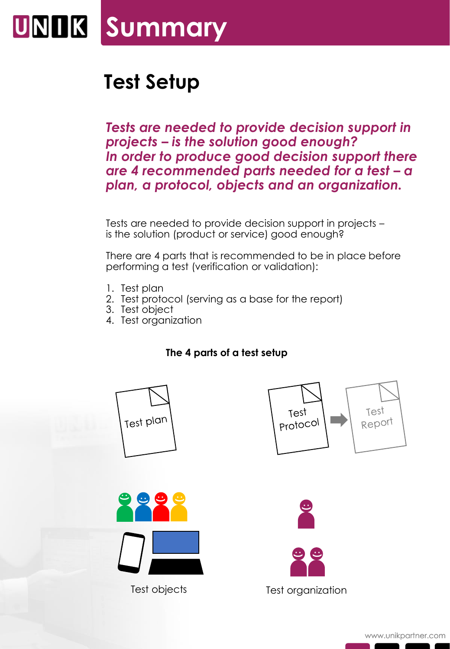

## **Test Setup**

*Tests are needed to provide decision support in projects – is the solution good enough? In order to produce good decision support there are 4 recommended parts needed for a test – a plan, a protocol, objects and an organization.*

Tests are needed to provide decision support in projects – is the solution (product or service) good enough?

There are 4 parts that is recommended to be in place before performing a test (verification or validation):

- 1. Test plan
- 2. Test protocol (serving as a base for the report)
- 3. Test object
- 4. Test organization

## **The 4 parts of a test setup**